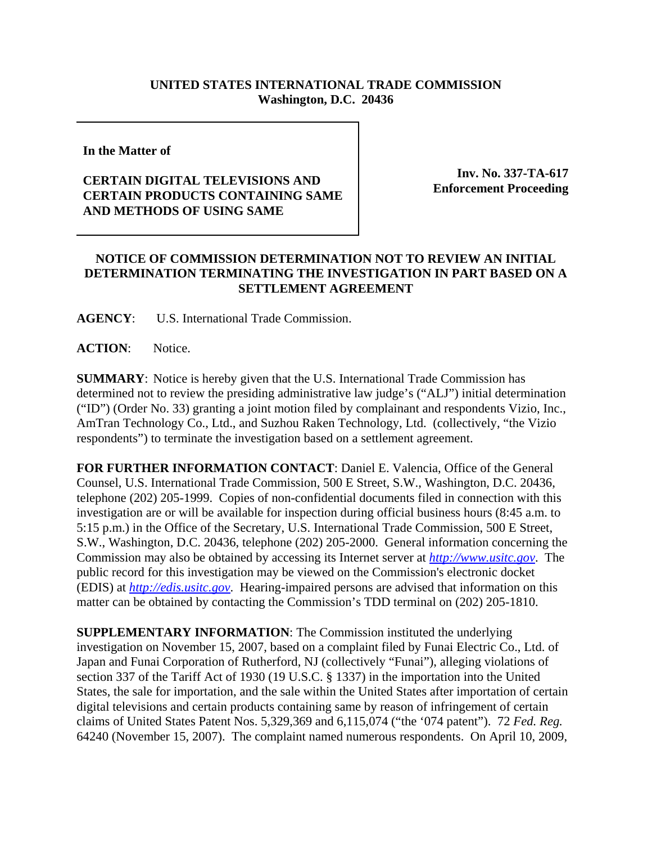## **UNITED STATES INTERNATIONAL TRADE COMMISSION Washington, D.C. 20436**

**In the Matter of** 

## **CERTAIN DIGITAL TELEVISIONS AND CERTAIN PRODUCTS CONTAINING SAME AND METHODS OF USING SAME**

**Inv. No. 337-TA-617 Enforcement Proceeding**

## **NOTICE OF COMMISSION DETERMINATION NOT TO REVIEW AN INITIAL DETERMINATION TERMINATING THE INVESTIGATION IN PART BASED ON A SETTLEMENT AGREEMENT**

**AGENCY**: U.S. International Trade Commission.

**ACTION**: Notice.

**SUMMARY**: Notice is hereby given that the U.S. International Trade Commission has determined not to review the presiding administrative law judge's ("ALJ") initial determination ("ID") (Order No. 33) granting a joint motion filed by complainant and respondents Vizio, Inc., AmTran Technology Co., Ltd., and Suzhou Raken Technology, Ltd. (collectively, "the Vizio respondents") to terminate the investigation based on a settlement agreement.

**FOR FURTHER INFORMATION CONTACT**: Daniel E. Valencia, Office of the General Counsel, U.S. International Trade Commission, 500 E Street, S.W., Washington, D.C. 20436, telephone (202) 205-1999. Copies of non-confidential documents filed in connection with this investigation are or will be available for inspection during official business hours (8:45 a.m. to 5:15 p.m.) in the Office of the Secretary, U.S. International Trade Commission, 500 E Street, S.W., Washington, D.C. 20436, telephone (202) 205-2000. General information concerning the Commission may also be obtained by accessing its Internet server at *http://www.usitc.gov*. The public record for this investigation may be viewed on the Commission's electronic docket (EDIS) at *http://edis.usitc.gov*. Hearing-impaired persons are advised that information on this matter can be obtained by contacting the Commission's TDD terminal on (202) 205-1810.

**SUPPLEMENTARY INFORMATION**: The Commission instituted the underlying investigation on November 15, 2007, based on a complaint filed by Funai Electric Co., Ltd. of Japan and Funai Corporation of Rutherford, NJ (collectively "Funai"), alleging violations of section 337 of the Tariff Act of 1930 (19 U.S.C. § 1337) in the importation into the United States, the sale for importation, and the sale within the United States after importation of certain digital televisions and certain products containing same by reason of infringement of certain claims of United States Patent Nos. 5,329,369 and 6,115,074 ("the '074 patent"). 72 *Fed. Reg.* 64240 (November 15, 2007). The complaint named numerous respondents. On April 10, 2009,